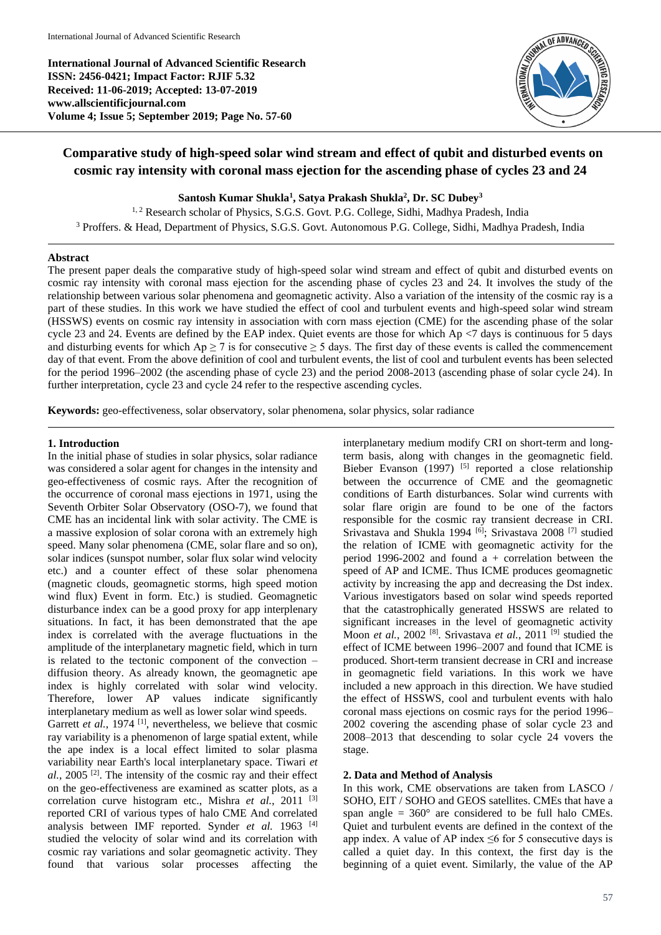**International Journal of Advanced Scientific Research ISSN: 2456-0421; Impact Factor: RJIF 5.32 Received: 11-06-2019; Accepted: 13-07-2019 www.allscientificjournal.com Volume 4; Issue 5; September 2019; Page No. 57-60**



# **Comparative study of high-speed solar wind stream and effect of qubit and disturbed events on cosmic ray intensity with coronal mass ejection for the ascending phase of cycles 23 and 24**

**Santosh Kumar Shukla<sup>1</sup> , Satya Prakash Shukla<sup>2</sup> , Dr. SC Dubey<sup>3</sup>**

<sup>1, 2</sup> Research scholar of Physics, S.G.S. Govt. P.G. College, Sidhi, Madhya Pradesh, India <sup>3</sup> Proffers. & Head, Department of Physics, S.G.S. Govt. Autonomous P.G. College, Sidhi, Madhya Pradesh, India

## **Abstract**

The present paper deals the comparative study of high-speed solar wind stream and effect of qubit and disturbed events on cosmic ray intensity with coronal mass ejection for the ascending phase of cycles 23 and 24. It involves the study of the relationship between various solar phenomena and geomagnetic activity. Also a variation of the intensity of the cosmic ray is a part of these studies. In this work we have studied the effect of cool and turbulent events and high-speed solar wind stream (HSSWS) events on cosmic ray intensity in association with corn mass ejection (CME) for the ascending phase of the solar cycle 23 and 24. Events are defined by the EAP index. Quiet events are those for which Ap <7 days is continuous for 5 days and disturbing events for which  $Ap \ge 7$  is for consecutive  $\ge 5$  days. The first day of these events is called the commencement day of that event. From the above definition of cool and turbulent events, the list of cool and turbulent events has been selected for the period 1996–2002 (the ascending phase of cycle 23) and the period 2008-2013 (ascending phase of solar cycle 24). In further interpretation, cycle 23 and cycle 24 refer to the respective ascending cycles.

**Keywords:** geo-effectiveness, solar observatory, solar phenomena, solar physics, solar radiance

### **1. Introduction**

In the initial phase of studies in solar physics, solar radiance was considered a solar agent for changes in the intensity and geo-effectiveness of cosmic rays. After the recognition of the occurrence of coronal mass ejections in 1971, using the Seventh Orbiter Solar Observatory (OSO-7), we found that CME has an incidental link with solar activity. The CME is a massive explosion of solar corona with an extremely high speed. Many solar phenomena (CME, solar flare and so on). solar indices (sunspot number, solar flux solar wind velocity etc.) and a counter effect of these solar phenomena (magnetic clouds, geomagnetic storms, high speed motion wind flux) Event in form. Etc.) is studied. Geomagnetic disturbance index can be a good proxy for app interplenary situations. In fact, it has been demonstrated that the ape index is correlated with the average fluctuations in the amplitude of the interplanetary magnetic field, which in turn is related to the tectonic component of the convection – diffusion theory. As already known, the geomagnetic ape index is highly correlated with solar wind velocity. Therefore, lower AP values indicate significantly interplanetary medium as well as lower solar wind speeds. Garrett *et al.*, 1974<sup>[1]</sup>, nevertheless, we believe that cosmic ray variability is a phenomenon of large spatial extent, while the ape index is a local effect limited to solar plasma variability near Earth's local interplanetary space. Tiwari *et*  al., 2005<sup>[2]</sup>. The intensity of the cosmic ray and their effect on the geo-effectiveness are examined as scatter plots, as a correlation curve histogram etc., Mishra *et al.*, 2011<sup>[3]</sup> reported CRI of various types of halo CME And correlated analysis between IMF reported. Synder *et al.* 1963 [4] studied the velocity of solar wind and its correlation with cosmic ray variations and solar geomagnetic activity. They found that various solar processes affecting the

interplanetary medium modify CRI on short-term and longterm basis, along with changes in the geomagnetic field. Bieber Evanson  $(1997)$ <sup>[5]</sup> reported a close relationship between the occurrence of CME and the geomagnetic conditions of Earth disturbances. Solar wind currents with solar flare origin are found to be one of the factors responsible for the cosmic ray transient decrease in CRI. Srivastava and Shukla 1994 [6]; Srivastava 2008 <sup>[7]</sup> studied the relation of ICME with geomagnetic activity for the period 1996-2002 and found  $a +$  correlation between the speed of AP and ICME. Thus ICME produces geomagnetic activity by increasing the app and decreasing the Dst index. Various investigators based on solar wind speeds reported that the catastrophically generated HSSWS are related to significant increases in the level of geomagnetic activity Moon *et al.*, 2002<sup>[8]</sup>. Srivastava *et al.*, 2011<sup>[9]</sup> studied the effect of ICME between 1996–2007 and found that ICME is produced. Short-term transient decrease in CRI and increase in geomagnetic field variations. In this work we have included a new approach in this direction. We have studied the effect of HSSWS, cool and turbulent events with halo coronal mass ejections on cosmic rays for the period 1996– 2002 covering the ascending phase of solar cycle 23 and 2008–2013 that descending to solar cycle 24 vovers the stage.

# **2. Data and Method of Analysis**

In this work, CME observations are taken from LASCO / SOHO, EIT / SOHO and GEOS satellites. CMEs that have a span angle =  $360^{\circ}$  are considered to be full halo CMEs. Quiet and turbulent events are defined in the context of the app index. A value of AP index  $\leq 6$  for 5 consecutive days is called a quiet day. In this context, the first day is the beginning of a quiet event. Similarly, the value of the AP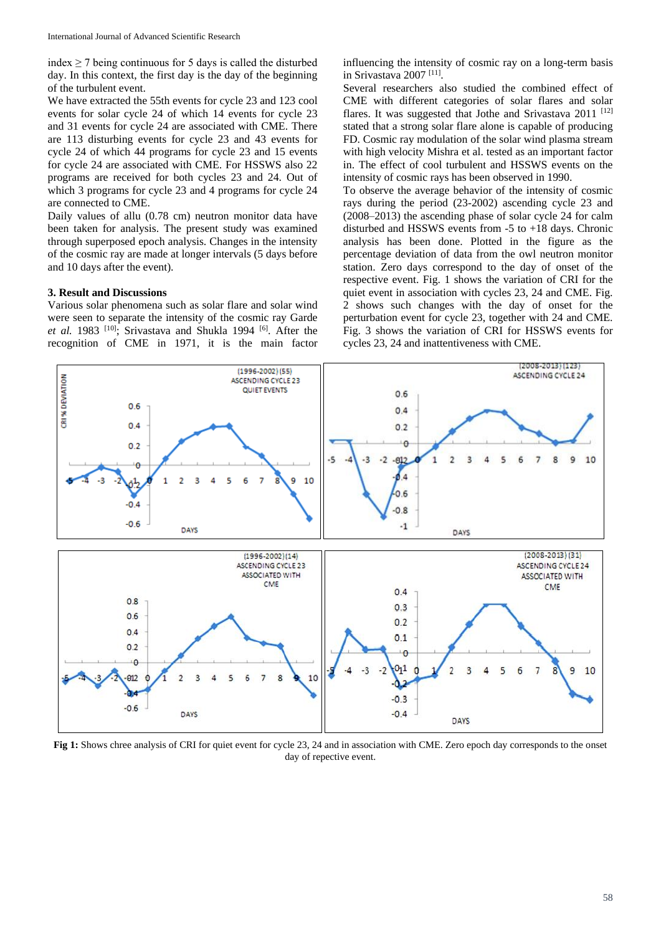index  $\geq$  7 being continuous for 5 days is called the disturbed day. In this context, the first day is the day of the beginning of the turbulent event.

We have extracted the 55th events for cycle 23 and 123 cool events for solar cycle 24 of which 14 events for cycle 23 and 31 events for cycle 24 are associated with CME. There are 113 disturbing events for cycle 23 and 43 events for cycle 24 of which 44 programs for cycle 23 and 15 events for cycle 24 are associated with CME. For HSSWS also 22 programs are received for both cycles 23 and 24. Out of which 3 programs for cycle 23 and 4 programs for cycle 24 are connected to CME.

Daily values of allu (0.78 cm) neutron monitor data have been taken for analysis. The present study was examined through superposed epoch analysis. Changes in the intensity of the cosmic ray are made at longer intervals (5 days before and 10 days after the event).

#### **3. Result and Discussions**

Various solar phenomena such as solar flare and solar wind were seen to separate the intensity of the cosmic ray Garde et al. 1983 <sup>[10]</sup>; Srivastava and Shukla 1994 <sup>[6]</sup>. After the recognition of CME in 1971, it is the main factor

influencing the intensity of cosmic ray on a long-term basis in Srivastava 2007 [11] .

Several researchers also studied the combined effect of CME with different categories of solar flares and solar flares. It was suggested that Jothe and Srivastava 2011<sup>[12]</sup> stated that a strong solar flare alone is capable of producing FD. Cosmic ray modulation of the solar wind plasma stream with high velocity Mishra et al. tested as an important factor in. The effect of cool turbulent and HSSWS events on the intensity of cosmic rays has been observed in 1990.

To observe the average behavior of the intensity of cosmic rays during the period (23-2002) ascending cycle 23 and (2008–2013) the ascending phase of solar cycle 24 for calm disturbed and HSSWS events from -5 to +18 days. Chronic analysis has been done. Plotted in the figure as the percentage deviation of data from the owl neutron monitor station. Zero days correspond to the day of onset of the respective event. Fig. 1 shows the variation of CRI for the quiet event in association with cycles 23, 24 and CME. Fig. 2 shows such changes with the day of onset for the perturbation event for cycle 23, together with 24 and CME. Fig. 3 shows the variation of CRI for HSSWS events for cycles 23, 24 and inattentiveness with CME.



**Fig 1:** Shows chree analysis of CRI for quiet event for cycle 23, 24 and in association with CME. Zero epoch day corresponds to the onset day of repective event.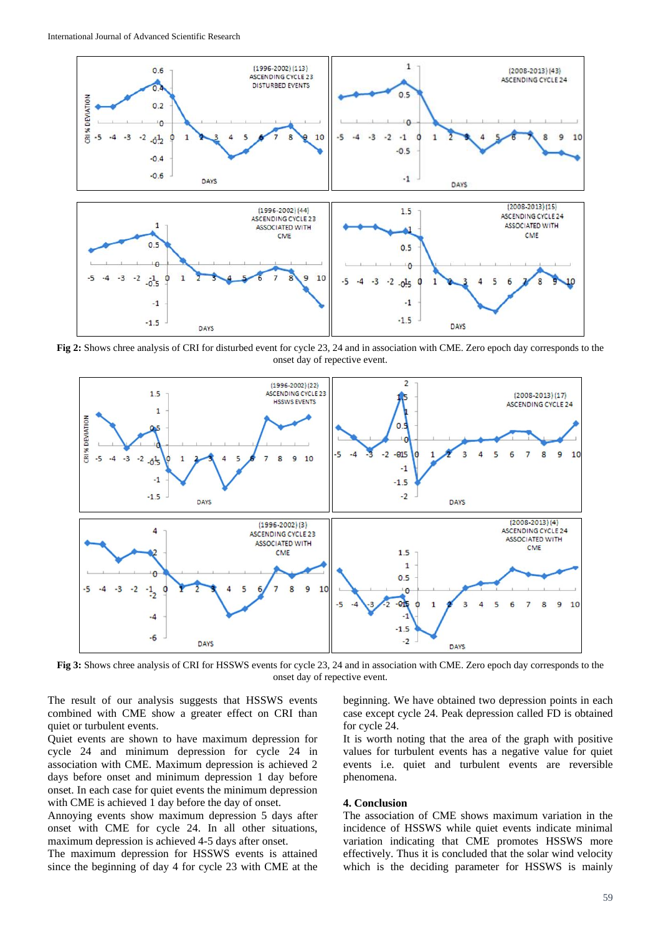

**Fig 2:** Shows chree analysis of CRI for disturbed event for cycle 23, 24 and in association with CME. Zero epoch day corresponds to the onset day of repective event.



**Fig 3:** Shows chree analysis of CRI for HSSWS events for cycle 23, 24 and in association with CME. Zero epoch day corresponds to the onset day of repective event.

The result of our analysis suggests that HSSWS events combined with CME show a greater effect on CRI than quiet or turbulent events.

Quiet events are shown to have maximum depression for cycle 24 and minimum depression for cycle 24 in association with CME. Maximum depression is achieved 2 days before onset and minimum depression 1 day before onset. In each case for quiet events the minimum depression with CME is achieved 1 day before the day of onset.

Annoying events show maximum depression 5 days after onset with CME for cycle 24. In all other situations, maximum depression is achieved 4-5 days after onset.

The maximum depression for HSSWS events is attained since the beginning of day 4 for cycle 23 with CME at the

beginning. We have obtained two depression points in each case except cycle 24. Peak depression called FD is obtained for cycle 24.

It is worth noting that the area of the graph with positive values for turbulent events has a negative value for quiet events i.e. quiet and turbulent events are reversible phenomena.

## **4. Conclusion**

The association of CME shows maximum variation in the incidence of HSSWS while quiet events indicate minimal variation indicating that CME promotes HSSWS more effectively. Thus it is concluded that the solar wind velocity which is the deciding parameter for HSSWS is mainly